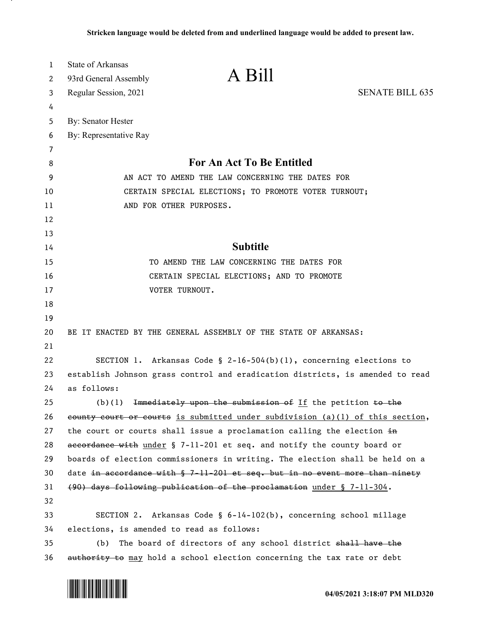| $\mathbf{1}$ | <b>State of Arkansas</b>                                                        | A Bill                                                                |                        |  |
|--------------|---------------------------------------------------------------------------------|-----------------------------------------------------------------------|------------------------|--|
| 2            | 93rd General Assembly                                                           |                                                                       |                        |  |
| 3            | Regular Session, 2021                                                           |                                                                       | <b>SENATE BILL 635</b> |  |
| 4            |                                                                                 |                                                                       |                        |  |
| 5            | By: Senator Hester                                                              |                                                                       |                        |  |
| 6            | By: Representative Ray                                                          |                                                                       |                        |  |
| 7<br>8       |                                                                                 | For An Act To Be Entitled                                             |                        |  |
| 9            | AN ACT TO AMEND THE LAW CONCERNING THE DATES FOR                                |                                                                       |                        |  |
| 10           |                                                                                 |                                                                       |                        |  |
| 11           | CERTAIN SPECIAL ELECTIONS; TO PROMOTE VOTER TURNOUT;<br>AND FOR OTHER PURPOSES. |                                                                       |                        |  |
| 12           |                                                                                 |                                                                       |                        |  |
| 13           |                                                                                 |                                                                       |                        |  |
| 14           |                                                                                 | <b>Subtitle</b>                                                       |                        |  |
| 15           | TO AMEND THE LAW CONCERNING THE DATES FOR                                       |                                                                       |                        |  |
| 16           | CERTAIN SPECIAL ELECTIONS; AND TO PROMOTE                                       |                                                                       |                        |  |
| 17           | VOTER TURNOUT.                                                                  |                                                                       |                        |  |
| 18           |                                                                                 |                                                                       |                        |  |
| 19           |                                                                                 |                                                                       |                        |  |
| 20           | BE IT ENACTED BY THE GENERAL ASSEMBLY OF THE STATE OF ARKANSAS:                 |                                                                       |                        |  |
| 21           |                                                                                 |                                                                       |                        |  |
| 22           |                                                                                 | SECTION 1. Arkansas Code § $2-16-504(b)(1)$ , concerning elections to |                        |  |
| 23           | establish Johnson grass control and eradication districts, is amended to read   |                                                                       |                        |  |
| 24           | as follows:                                                                     |                                                                       |                        |  |
| 25           | (b)(1)                                                                          | Immediately upon the submission of If the petition to the             |                        |  |
| 26           | eounty court or courts is submitted under subdivision (a)(1) of this section,   |                                                                       |                        |  |
| 27           | the court or courts shall issue a proclamation calling the election in          |                                                                       |                        |  |
| 28           | accordance with under § 7-11-201 et seq. and notify the county board or         |                                                                       |                        |  |
| 29           | boards of election commissioners in writing. The election shall be held on a    |                                                                       |                        |  |
| 30           | date in accordance with § 7-11-201 et seq. but in no event more than ninety     |                                                                       |                        |  |
| 31           | (90) days following publication of the proclamation under § 7-11-304.           |                                                                       |                        |  |
| 32           |                                                                                 |                                                                       |                        |  |
| 33           |                                                                                 | SECTION 2. Arkansas Code § 6-14-102(b), concerning school millage     |                        |  |
| 34           | elections, is amended to read as follows:                                       |                                                                       |                        |  |
| 35           | The board of directors of any school district shall have the<br>(b)             |                                                                       |                        |  |
| 36           | authority to may hold a school election concerning the tax rate or debt         |                                                                       |                        |  |

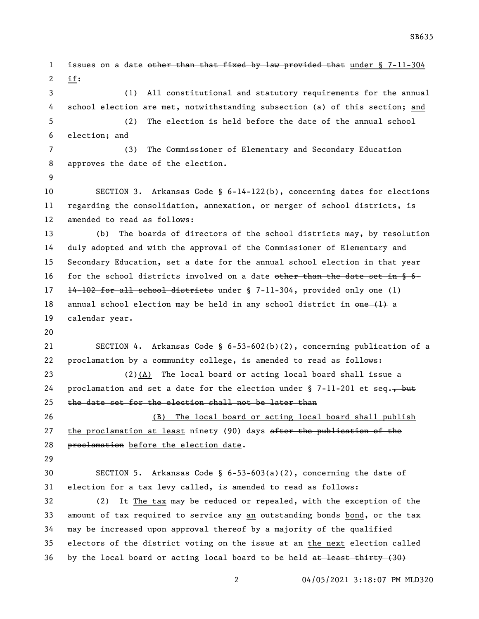1 issues on a date other than that fixed by law provided that under § 7-11-304 if: (1) All constitutional and statutory requirements for the annual school election are met, notwithstanding subsection (a) of this section; and (2) The election is held before the date of the annual school election; and 7 (3) The Commissioner of Elementary and Secondary Education approves the date of the election. SECTION 3. Arkansas Code § 6-14-122(b), concerning dates for elections regarding the consolidation, annexation, or merger of school districts, is amended to read as follows: (b) The boards of directors of the school districts may, by resolution duly adopted and with the approval of the Commissioner of Elementary and Secondary Education, set a date for the annual school election in that year 16 for the school districts involved on a date  $\theta$  the than the date set in  $\frac{6}{3}$  14-102 for all school districts under § 7-11-304, provided only one (1) 18 annual school election may be held in any school district in  $\theta$ ne  $(1)$  a calendar year. SECTION 4. Arkansas Code § 6-53-602(b)(2), concerning publication of a proclamation by a community college, is amended to read as follows: (2)(A) The local board or acting local board shall issue a 24 proclamation and set a date for the election under  $\S$  7-11-201 et seq. but  $t$  the date set for the election shall not be later than (B) The local board or acting local board shall publish 27 the proclamation at least ninety (90) days after the publication of the 28 proclamation before the election date. SECTION 5. Arkansas Code § 6-53-603(a)(2), concerning the date of election for a tax levy called, is amended to read as follows: 32 (2)  $\pm$  The tax may be reduced or repealed, with the exception of the 33 amount of tax required to service any an outstanding bonds bond, or the tax may be increased upon approval thereof by a majority of the qualified 35 electors of the district voting on the issue at an the next election called 36 by the local board or acting local board to be held at least thirty (30)

04/05/2021 3:18:07 PM MLD320

SB635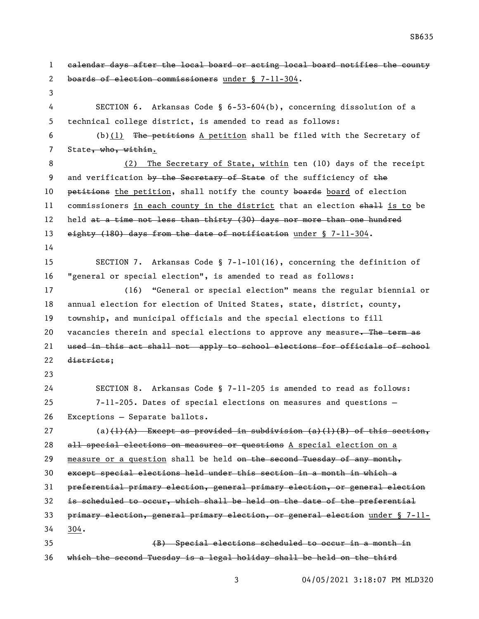calendar days after the local board or acting local board notifies the county boards of election commissioners under § 7-11-304. SECTION 6. Arkansas Code § 6-53-604(b), concerning dissolution of a technical college district, is amended to read as follows: (b)(1) The petitions A petition shall be filed with the Secretary of 7 State, who, within. 8 (2) The Secretary of State, within ten (10) days of the receipt 9 and verification by the Secretary of State of the sufficiency of the 10 petitions the petition, shall notify the county boards board of election 11 commissioners in each county in the district that an election shall is to be 12 held at a time not less than thirty (30) days nor more than one hundred 13 eighty (180) days from the date of notification under § 7-11-304. SECTION 7. Arkansas Code § 7-1-101(16), concerning the definition of "general or special election", is amended to read as follows: (16) "General or special election" means the regular biennial or annual election for election of United States, state, district, county, township, and municipal officials and the special elections to fill 20 vacancies therein and special elections to approve any measure. The term as used in this act shall not apply to school elections for officials of school districts; SECTION 8. Arkansas Code § 7-11-205 is amended to read as follows: 7-11-205. Dates of special elections on measures and questions — Exceptions — Separate ballots. 27 (a) $(1)(A)$  Except as provided in subdivision  $(a)(1)(B)$  of this section, 28 all special elections on measures or questions A special election on a 29 measure or a question shall be held on the second Tuesday of any month, except special elections held under this section in a month in which a preferential primary election, general primary election, or general election is scheduled to occur, which shall be held on the date of the preferential primary election, general primary election, or general election under § 7-11- 304. (B) Special elections scheduled to occur in a month in which the second Tuesday is a legal holiday shall be held on the third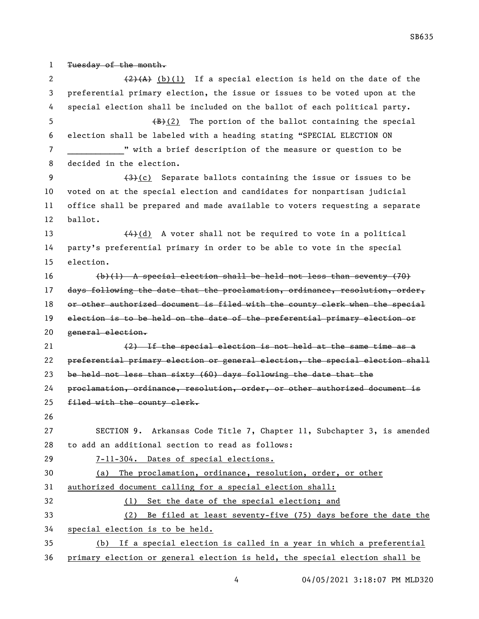Tuesday of the month.  $(2)$   $(2)$   $(4)$   $(b)$  (1) If a special election is held on the date of the preferential primary election, the issue or issues to be voted upon at the special election shall be included on the ballot of each political party.  $\left(\frac{B}{B}(2)\right)$  The portion of the ballot containing the special election shall be labeled with a heading stating "SPECIAL ELECTION ON **7 with a brief description of the measure or question to be**  decided in the election.  $(3)(c)$  Separate ballots containing the issue or issues to be voted on at the special election and candidates for nonpartisan judicial office shall be prepared and made available to voters requesting a separate ballot.  $\left\{\frac{4}{4}\right\}$  (d) A voter shall not be required to vote in a political party's preferential primary in order to be able to vote in the special election. (b)(1) A special election shall be held not less than seventy (70) 17 days following the date that the proclamation, ordinance, resolution, order, 18 or other authorized document is filed with the county clerk when the special election is to be held on the date of the preferential primary election or general election. 21 (2) If the special election is not held at the same time as a preferential primary election or general election, the special election shall be held not less than sixty (60) days following the date that the proclamation, ordinance, resolution, order, or other authorized document is filed with the county clerk. SECTION 9. Arkansas Code Title 7, Chapter 11, Subchapter 3, is amended to add an additional section to read as follows: 7-11-304. Dates of special elections. (a) The proclamation, ordinance, resolution, order, or other authorized document calling for a special election shall: (1) Set the date of the special election; and (2) Be filed at least seventy-five (75) days before the date the special election is to be held. (b) If a special election is called in a year in which a preferential primary election or general election is held, the special election shall be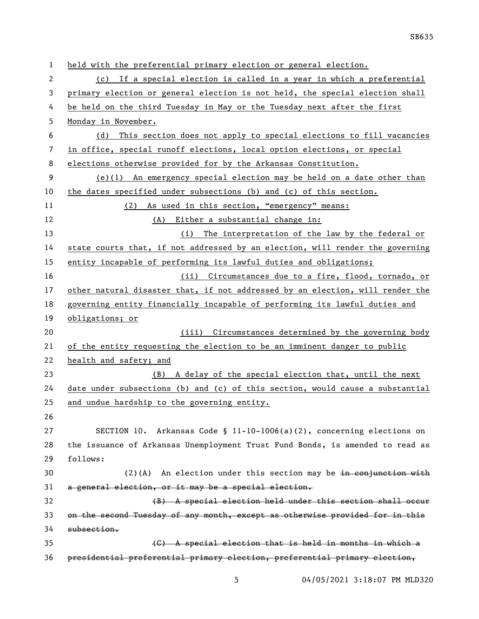| 1  | held with the preferential primary election or general election.              |  |  |
|----|-------------------------------------------------------------------------------|--|--|
| 2  | (c) If a special election is called in a year in which a preferential         |  |  |
| 3  | primary election or general election is not held, the special election shall  |  |  |
| 4  | be held on the third Tuesday in May or the Tuesday next after the first       |  |  |
| 5  | Monday in November.                                                           |  |  |
| 6  | This section does not apply to special elections to fill vacancies<br>(d)     |  |  |
| 7  | in office, special runoff elections, local option elections, or special       |  |  |
| 8  | elections otherwise provided for by the Arkansas Constitution.                |  |  |
| 9  | $(e)(1)$ An emergency special election may be held on a date other than       |  |  |
| 10 | the dates specified under subsections (b) and (c) of this section.            |  |  |
| 11 | (2) As used in this section, "emergency" means:                               |  |  |
| 12 | (A) Either a substantial change in:                                           |  |  |
| 13 | (i) The interpretation of the law by the federal or                           |  |  |
| 14 | state courts that, if not addressed by an election, will render the governing |  |  |
| 15 | entity incapable of performing its lawful duties and obligations;             |  |  |
| 16 | (ii) Circumstances due to a fire, flood, tornado, or                          |  |  |
| 17 | other natural disaster that, if not addressed by an election, will render the |  |  |
| 18 | governing entity financially incapable of performing its lawful duties and    |  |  |
| 19 | obligations; or                                                               |  |  |
| 20 | (iii) Circumstances determined by the governing body                          |  |  |
| 21 | of the entity requesting the election to be an imminent danger to public      |  |  |
| 22 | health and safety; and                                                        |  |  |
| 23 | (B) A delay of the special election that, until the next                      |  |  |
| 24 | date under subsections (b) and (c) of this section, would cause a substantial |  |  |
| 25 | and undue hardship to the governing entity.                                   |  |  |
| 26 |                                                                               |  |  |
| 27 | SECTION 10. Arkansas Code § 11-10-1006(a)(2), concerning elections on         |  |  |
| 28 | the issuance of Arkansas Unemployment Trust Fund Bonds, is amended to read as |  |  |
| 29 | follows:                                                                      |  |  |
| 30 | $(2)$ (A) An election under this section may be in conjunction with           |  |  |
| 31 | a general election, or it may be a special election.                          |  |  |
| 32 | (B) A special election held under this section shall occur                    |  |  |
| 33 | on the second Tuesday of any month, except as otherwise provided for in this  |  |  |
| 34 | subsection.                                                                   |  |  |
| 35 | (C) A special election that is held in months in which a                      |  |  |
| 36 | presidential preferential primary election, preferential primary election,    |  |  |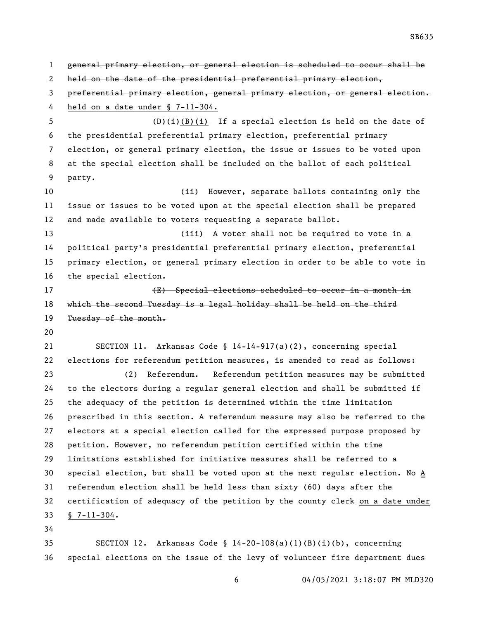general primary election, or general election is scheduled to occur shall be 2 held on the date of the presidential preferential primary election, preferential primary election, general primary election, or general election. held on a date under § 7-11-304.  $\left(\frac{D}{H}\right)^{1}$  (B)(i) If a special election is held on the date of the presidential preferential primary election, preferential primary election, or general primary election, the issue or issues to be voted upon at the special election shall be included on the ballot of each political party. (ii) However, separate ballots containing only the issue or issues to be voted upon at the special election shall be prepared and made available to voters requesting a separate ballot. (iii) A voter shall not be required to vote in a political party's presidential preferential primary election, preferential primary election, or general primary election in order to be able to vote in the special election. 17 (E) Special elections scheduled to occur in a month in which the second Tuesday is a legal holiday shall be held on the third 19 Tuesday of the month. SECTION 11. Arkansas Code § 14-14-917(a)(2), concerning special elections for referendum petition measures, is amended to read as follows: (2) Referendum. Referendum petition measures may be submitted to the electors during a regular general election and shall be submitted if the adequacy of the petition is determined within the time limitation prescribed in this section. A referendum measure may also be referred to the electors at a special election called for the expressed purpose proposed by petition. However, no referendum petition certified within the time limitations established for initiative measures shall be referred to a 30 special election, but shall be voted upon at the next regular election. No A referendum election shall be held less than sixty (60) days after the 32 certification of adequacy of the petition by the county clerk on a date under § 7-11-304. 

 SECTION 12. Arkansas Code § 14-20-108(a)(1)(B)(i)(b), concerning special elections on the issue of the levy of volunteer fire department dues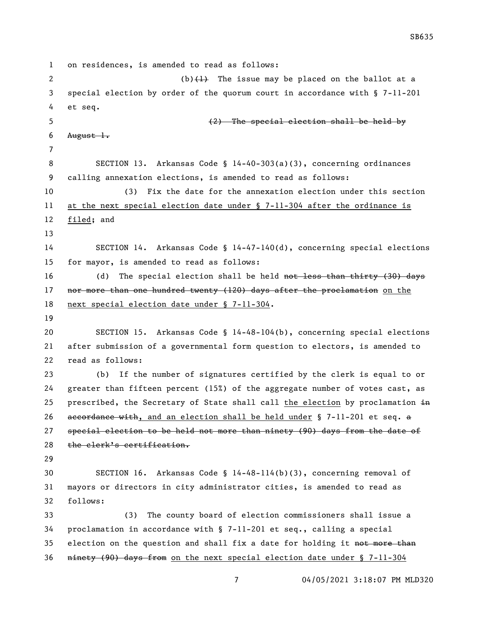on residences, is amended to read as follows: 2 (b) $\left\{\frac{1}{2}\right\}$  The issue may be placed on the ballot at a special election by order of the quorum court in accordance with § 7-11-201 et seq. (2) The special election shall be held by 6 August  $l_{\bullet}$  SECTION 13. Arkansas Code § 14-40-303(a)(3), concerning ordinances calling annexation elections, is amended to read as follows: (3) Fix the date for the annexation election under this section at the next special election date under § 7-11-304 after the ordinance is filed; and SECTION 14. Arkansas Code § 14-47-140(d), concerning special elections for mayor, is amended to read as follows: 16 (d) The special election shall be held not less than thirty (30) days 17 nor more than one hundred twenty (120) days after the proclamation on the next special election date under § 7-11-304. SECTION 15. Arkansas Code § 14-48-104(b), concerning special elections after submission of a governmental form question to electors, is amended to read as follows: (b) If the number of signatures certified by the clerk is equal to or greater than fifteen percent (15%) of the aggregate number of votes cast, as 25 prescribed, the Secretary of State shall call the election by proclamation  $\pm n$ 26 accordance with, and an election shall be held under  $\S$  7-11-201 et seq. a special election to be held not more than ninety (90) days from the date of the clerk's certification. SECTION 16. Arkansas Code § 14-48-114(b)(3), concerning removal of mayors or directors in city administrator cities, is amended to read as follows: (3) The county board of election commissioners shall issue a proclamation in accordance with § 7-11-201 et seq., calling a special 35 election on the question and shall fix a date for holding it not more than ninety (90) days from on the next special election date under § 7-11-304

SB635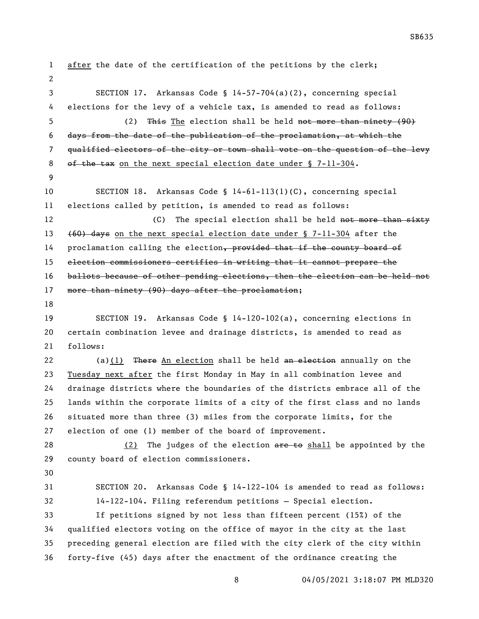04/05/2021 3:18:07 PM MLD320 after the date of the certification of the petitions by the clerk; SECTION 17. Arkansas Code § 14-57-704(a)(2), concerning special elections for the levy of a vehicle tax, is amended to read as follows: (2) This The election shall be held not more than ninety (90) days from the date of the publication of the proclamation, at which the qualified electors of the city or town shall vote on the question of the levy 8 of the tax on the next special election date under § 7-11-304. SECTION 18. Arkansas Code § 14-61-113(1)(C), concerning special elections called by petition, is amended to read as follows: 12 (C) The special election shall be held not more than sixty (60) days on the next special election date under § 7-11-304 after the 14 proclamation calling the election, provided that if the county board of election commissioners certifies in writing that it cannot prepare the ballots because of other pending elections, then the election can be held not 17 more than ninety (90) days after the proclamation; SECTION 19. Arkansas Code § 14-120-102(a), concerning elections in certain combination levee and drainage districts, is amended to read as follows:  $(a)(1)$  There An election shall be held an election annually on the Tuesday next after the first Monday in May in all combination levee and drainage districts where the boundaries of the districts embrace all of the lands within the corporate limits of a city of the first class and no lands situated more than three (3) miles from the corporate limits, for the election of one (1) member of the board of improvement. 28 (2) The judges of the election are to shall be appointed by the county board of election commissioners. SECTION 20. Arkansas Code § 14-122-104 is amended to read as follows: 14-122-104. Filing referendum petitions — Special election. If petitions signed by not less than fifteen percent (15%) of the qualified electors voting on the office of mayor in the city at the last preceding general election are filed with the city clerk of the city within forty-five (45) days after the enactment of the ordinance creating the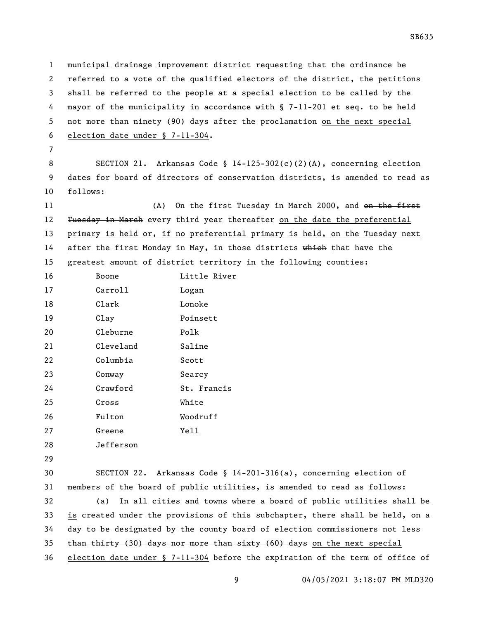municipal drainage improvement district requesting that the ordinance be referred to a vote of the qualified electors of the district, the petitions shall be referred to the people at a special election to be called by the mayor of the municipality in accordance with § 7-11-201 et seq. to be held not more than ninety (90) days after the proclamation on the next special election date under § 7-11-304.

 SECTION 21. Arkansas Code § 14-125-302(c)(2)(A), concerning election dates for board of directors of conservation districts, is amended to read as follows:

11 (A) On the first Tuesday in March 2000, and <del>on the first</del> 12 Tuesday in March every third year thereafter on the date the preferential primary is held or, if no preferential primary is held, on the Tuesday next 14 after the first Monday in May, in those districts which that have the greatest amount of district territory in the following counties:

| 16 | Boone     | Little River |
|----|-----------|--------------|
| 17 | Carroll   | Logan        |
| 18 | Clark     | Lonoke       |
| 19 | Clay      | Poinsett     |
| 20 | Cleburne  | Polk         |
| 21 | Cleveland | Saline       |
| 22 | Columbia  | Scott        |
| 23 | Conway    | Searcy       |
| 24 | Crawford  | St. Francis  |
| 25 | Cross     | White        |
| 26 | Fulton    | Woodruff     |
| 27 | Greene    | Yell         |
| 28 | Jefferson |              |

 SECTION 22. Arkansas Code § 14-201-316(a), concerning election of members of the board of public utilities, is amended to read as follows: 32 (a) In all cities and towns where a board of public utilities shall be 33 is created under the provisions of this subchapter, there shall be held, on a day to be designated by the county board of election commissioners not less  $\frac{1}{2}$  than thirty (30) days nor more than sixty (60) days on the next special election date under § 7-11-304 before the expiration of the term of office of

SB635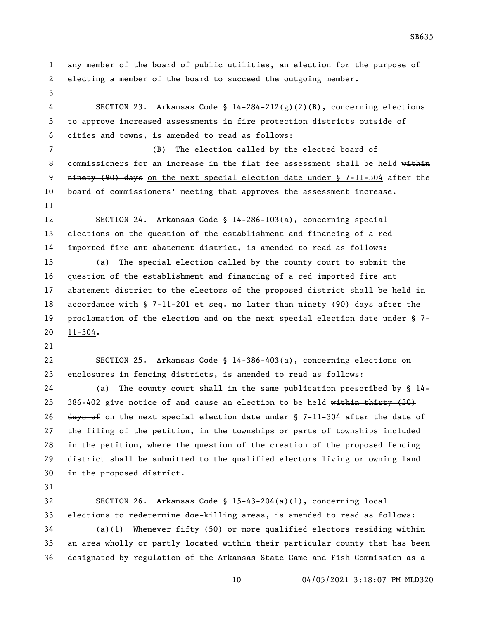any member of the board of public utilities, an election for the purpose of electing a member of the board to succeed the outgoing member.

 SECTION 23. Arkansas Code § 14-284-212(g)(2)(B), concerning elections to approve increased assessments in fire protection districts outside of cities and towns, is amended to read as follows:

 (B) The election called by the elected board of 8 commissioners for an increase in the flat fee assessment shall be held within 9 ninety (90) days on the next special election date under § 7-11-304 after the board of commissioners' meeting that approves the assessment increase. 

 SECTION 24. Arkansas Code § 14-286-103(a), concerning special elections on the question of the establishment and financing of a red imported fire ant abatement district, is amended to read as follows:

 (a) The special election called by the county court to submit the question of the establishment and financing of a red imported fire ant abatement district to the electors of the proposed district shall be held in 18 accordance with § 7-11-201 et seq. no later than ninety (90) days after the 19 proclamation of the election and on the next special election date under § 7-11-304.

 SECTION 25. Arkansas Code § 14-386-403(a), concerning elections on enclosures in fencing districts, is amended to read as follows:

 (a) The county court shall in the same publication prescribed by § 14- 25 386-402 give notice of and cause an election to be held  $\overline{\text{within thirty (30)}}$ 26 days of on the next special election date under  $\S$  7-11-304 after the date of the filing of the petition, in the townships or parts of townships included in the petition, where the question of the creation of the proposed fencing district shall be submitted to the qualified electors living or owning land in the proposed district.

 SECTION 26. Arkansas Code § 15-43-204(a)(1), concerning local elections to redetermine doe-killing areas, is amended to read as follows:

 (a)(1) Whenever fifty (50) or more qualified electors residing within an area wholly or partly located within their particular county that has been designated by regulation of the Arkansas State Game and Fish Commission as a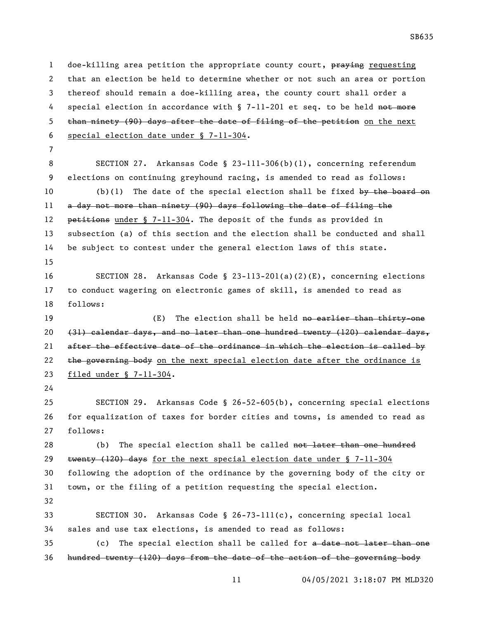1 doe-killing area petition the appropriate county court, praying requesting that an election be held to determine whether or not such an area or portion thereof should remain a doe-killing area, the county court shall order a 4 special election in accordance with § 7-11-201 et seq. to be held not more 5 than ninety (90) days after the date of filing of the petition on the next special election date under § 7-11-304.

 SECTION 27. Arkansas Code § 23-111-306(b)(1), concerning referendum elections on continuing greyhound racing, is amended to read as follows: 10 (b)(1) The date of the special election shall be fixed by the board on a day not more than ninety (90) days following the date of filing the 12 petitions under § 7-11-304. The deposit of the funds as provided in subsection (a) of this section and the election shall be conducted and shall be subject to contest under the general election laws of this state. SECTION 28. Arkansas Code § 23-113-201(a)(2)(E), concerning elections to conduct wagering on electronic games of skill, is amended to read as follows:

19 (E) The election shall be held no earlier than thirty-one (31) calendar days, and no later than one hundred twenty (120) calendar days, after the effective date of the ordinance in which the election is called by  $\epsilon$  the governing body on the next special election date after the ordinance is filed under § 7-11-304.

 SECTION 29. Arkansas Code § 26-52-605(b), concerning special elections for equalization of taxes for border cities and towns, is amended to read as follows:

28 (b) The special election shall be called not later than one hundred 29 twenty  $(120)$  days for the next special election date under § 7-11-304 following the adoption of the ordinance by the governing body of the city or town, or the filing of a petition requesting the special election. 

 SECTION 30. Arkansas Code § 26-73-111(c), concerning special local sales and use tax elections, is amended to read as follows:

 (c) The special election shall be called for a date not later than one hundred twenty (120) days from the date of the action of the governing body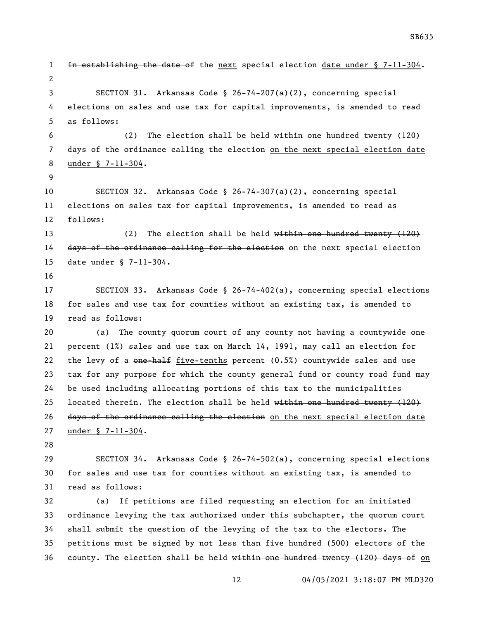1 in establishing the date of the next special election date under § 7-11-304. SECTION 31. Arkansas Code § 26-74-207(a)(2), concerning special elections on sales and use tax for capital improvements, is amended to read as follows: (2) The election shall be held within one hundred twenty (120) 7 days of the ordinance calling the election on the next special election date under § 7-11-304. SECTION 32. Arkansas Code § 26-74-307(a)(2), concerning special elections on sales tax for capital improvements, is amended to read as follows: 13 (2) The election shall be held within one hundred twenty (120) 14 days of the ordinance calling for the election on the next special election date under § 7-11-304. SECTION 33. Arkansas Code § 26-74-402(a), concerning special elections for sales and use tax for counties without an existing tax, is amended to read as follows: (a) The county quorum court of any county not having a countywide one percent (1%) sales and use tax on March 14, 1991, may call an election for 22 the levy of a  $\theta$  one-half five-tenths percent (0.5%) countywide sales and use tax for any purpose for which the county general fund or county road fund may be used including allocating portions of this tax to the municipalities 25 located therein. The election shall be held within one hundred twenty  $(120)$ 26 days of the ordinance calling the election on the next special election date under § 7-11-304. SECTION 34. Arkansas Code § 26-74-502(a), concerning special elections for sales and use tax for counties without an existing tax, is amended to read as follows: (a) If petitions are filed requesting an election for an initiated ordinance levying the tax authorized under this subchapter, the quorum court shall submit the question of the levying of the tax to the electors. The petitions must be signed by not less than five hundred (500) electors of the 36 county. The election shall be held  $w$ ithin one hundred twenty (120) days of on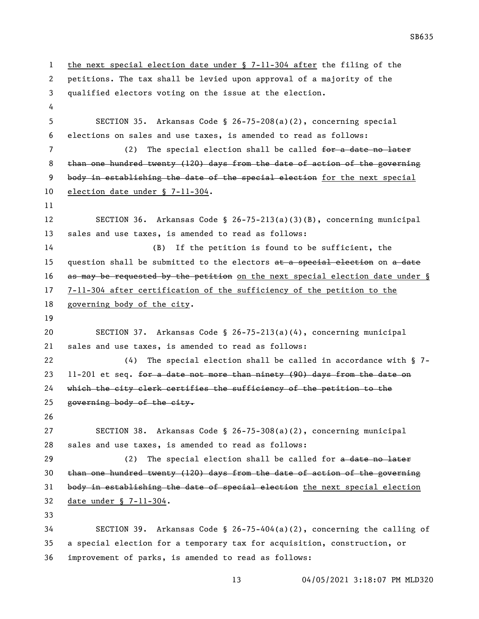the next special election date under § 7-11-304 after the filing of the petitions. The tax shall be levied upon approval of a majority of the qualified electors voting on the issue at the election. SECTION 35. Arkansas Code § 26-75-208(a)(2), concerning special elections on sales and use taxes, is amended to read as follows: 7 (2) The special election shall be called for a date no later than one hundred twenty (120) days from the date of action of the governing 9 body in establishing the date of the special election for the next special election date under § 7-11-304. SECTION 36. Arkansas Code § 26-75-213(a)(3)(B), concerning municipal sales and use taxes, is amended to read as follows: 14 (B) If the petition is found to be sufficient, the 15 question shall be submitted to the electors  $a_{t}$  a special election on  $a_{t}$  date 16 as may be requested by the petition on the next special election date under § 7-11-304 after certification of the sufficiency of the petition to the governing body of the city. SECTION 37. Arkansas Code § 26-75-213(a)(4), concerning municipal sales and use taxes, is amended to read as follows: (4) The special election shall be called in accordance with § 7- 23 11-201 et seq. for a date not more than ninety (90) days from the date on which the city clerk certifies the sufficiency of the petition to the governing body of the city. SECTION 38. Arkansas Code § 26-75-308(a)(2), concerning municipal sales and use taxes, is amended to read as follows: 29 (2) The special election shall be called for a date no later than one hundred twenty (120) days from the date of action of the governing body in establishing the date of special election the next special election date under § 7-11-304. SECTION 39. Arkansas Code § 26-75-404(a)(2), concerning the calling of a special election for a temporary tax for acquisition, construction, or

improvement of parks, is amended to read as follows: